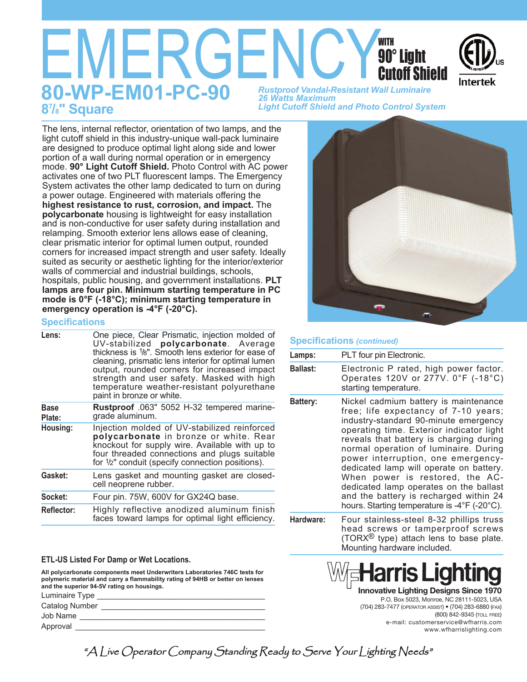# **EMERGENCY SO" Light**<br>BO-WP-EMO1-PC-90 Rustproof Vandal-Resistant Wall Luminaire **80-WP-EM01-PC-90** *Rustproof Vandal-Resistant Wall Luminaire 26 Watts Maximum Light Cutoff Shield and Photo Control System* **/8" Square** with 90° Light Cutoff Shield

The lens, internal reflector, orientation of two lamps, and the light cutoff shield in this industry-unique wall-pack luminaire are designed to produce optimal light along side and lower portion of a wall during normal operation or in emergency mode. **90° Light Cutoff Shield.** Photo Control with AC power activates one of two PLT fluorescent lamps. The Emergency System activates the other lamp dedicated to turn on during a power outage. Engineered with materials offering the **highest resistance to rust, corrosion, and impact.** The **polycarbonate** housing is lightweight for easy installation and is non-conductive for user safety during installation and relamping. Smooth exterior lens allows ease of cleaning, clear prismatic interior for optimal lumen output, rounded corners for increased impact strength and user safety. Ideally suited as security or aesthetic lighting for the interior/exterior walls of commercial and industrial buildings, schools, hospitals, public housing, and government installations. **PLT lamps are four pin. Minimum starting temperature in PC mode is 0°F (-18°C); minimum starting temperature in emergency operation is -4°F (-20°C).**

## **Specifications**

| Lens:             | One piece, Clear Prismatic, injection molded of<br>UV-stabilized polycarbonate. Average<br>thickness is <sup>1</sup> /8". Smooth lens exterior for ease of<br>cleaning, prismatic lens interior for optimal lumen<br>output, rounded corners for increased impact<br>strength and user safety. Masked with high<br>temperature weather-resistant polyurethane<br>paint in bronze or white. |
|-------------------|--------------------------------------------------------------------------------------------------------------------------------------------------------------------------------------------------------------------------------------------------------------------------------------------------------------------------------------------------------------------------------------------|
| Base<br>Plate:    | Rustproof .063" 5052 H-32 tempered marine-<br>grade aluminum.                                                                                                                                                                                                                                                                                                                              |
| Housing:          | Injection molded of UV-stabilized reinforced<br>polycarbonate in bronze or white. Rear<br>knockout for supply wire. Available with up to<br>four threaded connections and plugs suitable<br>for <sup>1</sup> / <sub>2</sub> " conduit (specify connection positions).                                                                                                                      |
| Gasket:           | Lens gasket and mounting gasket are closed-<br>cell neoprene rubber.                                                                                                                                                                                                                                                                                                                       |
| Socket:           | Four pin. 75W, 600V for GX24Q base.                                                                                                                                                                                                                                                                                                                                                        |
| <b>Reflector:</b> | Highly reflective anodized aluminum finish<br>faces toward lamps for optimal light efficiency.                                                                                                                                                                                                                                                                                             |
|                   |                                                                                                                                                                                                                                                                                                                                                                                            |

### **ETL-US Listed For Damp or Wet Locations.**

**All polycarbonate components meet Underwriters Laboratories 746C tests for polymeric material and carry a flammability rating of 94HB or better on lenses and the superior 94-5V rating on housings.**

Luminaire Type Catalog Number \_\_\_\_\_\_\_\_\_\_\_\_\_\_\_\_\_\_\_\_\_\_\_\_\_\_\_\_\_\_\_\_\_\_\_\_\_\_ Job Name \_\_\_\_\_\_\_\_\_\_\_\_\_\_\_\_\_\_\_\_\_\_\_\_\_\_\_\_\_\_\_\_\_\_\_\_\_\_\_\_\_\_\_ Approval



## **Specifications** *(continued)*

| Lamps:          | PLT four pin Electronic.                                                                                                                                                                                                                                                                                                                                                                                                                                                                                       |
|-----------------|----------------------------------------------------------------------------------------------------------------------------------------------------------------------------------------------------------------------------------------------------------------------------------------------------------------------------------------------------------------------------------------------------------------------------------------------------------------------------------------------------------------|
| <b>Ballast:</b> | Electronic P rated, high power factor.<br>Operates 120V or 277V. 0°F (-18°C)<br>starting temperature.                                                                                                                                                                                                                                                                                                                                                                                                          |
| <b>Battery:</b> | Nickel cadmium battery is maintenance<br>free; life expectancy of 7-10 years;<br>industry-standard 90-minute emergency<br>operating time. Exterior indicator light<br>reveals that battery is charging during<br>normal operation of luminaire. During<br>power interruption, one emergency-<br>dedicated lamp will operate on battery.<br>When power is restored, the AC-<br>dedicated lamp operates on the ballast<br>and the battery is recharged within 24<br>hours. Starting temperature is -4°F (-20°C). |
| Hardware:       | Four stainless-steel 8-32 phillips truss<br>head screws or tamperproof screws<br>$(T\cap \text{RY} \mathbb{B})$ tyng) attach lans to hase nigte                                                                                                                                                                                                                                                                                                                                                                |

(TORX $<sup>®</sup>$  type) attach lens to base plate.</sup> Mounting hardware included.



**Innovative Lighting Designs Since 1970** P.O. Box 5023, Monroe, NC 28111-5023, USA (704) 283-7477 (OPERATOR ASSIST) • (704) 283-6880 (FAX) (800) 842-9345 (TOLL FREE)

e-mail: customerservice@wfharris.com www.wfharrislighting.com

"A Live Operator Company Standing Ready to Serve Your Lighting Needs"